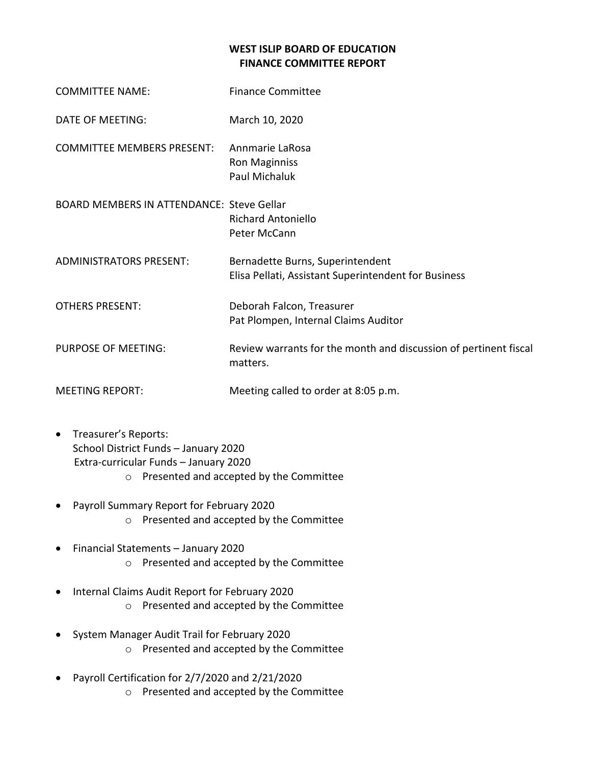## **WEST ISLIP BOARD OF EDUCATION FINANCE COMMITTEE REPORT**

| <b>COMMITTEE NAME:</b>                           | <b>Finance Committee</b>                                                                 |
|--------------------------------------------------|------------------------------------------------------------------------------------------|
| <b>DATE OF MEETING:</b>                          | March 10, 2020                                                                           |
| <b>COMMITTEE MEMBERS PRESENT:</b>                | Annmarie LaRosa<br><b>Ron Maginniss</b><br>Paul Michaluk                                 |
| <b>BOARD MEMBERS IN ATTENDANCE: Steve Gellar</b> | <b>Richard Antoniello</b><br>Peter McCann                                                |
| <b>ADMINISTRATORS PRESENT:</b>                   | Bernadette Burns, Superintendent<br>Elisa Pellati, Assistant Superintendent for Business |
| <b>OTHERS PRESENT:</b>                           | Deborah Falcon, Treasurer<br>Pat Plompen, Internal Claims Auditor                        |
| PURPOSE OF MEETING:                              | Review warrants for the month and discussion of pertinent fiscal<br>matters.             |
| <b>MEETING REPORT:</b>                           | Meeting called to order at 8:05 p.m.                                                     |

- Treasurer's Reports: School District Funds – January 2020 Extra-curricular Funds – January 2020 o Presented and accepted by the Committee
- Payroll Summary Report for February 2020 o Presented and accepted by the Committee
- Financial Statements January 2020 o Presented and accepted by the Committee
- Internal Claims Audit Report for February 2020 o Presented and accepted by the Committee
- System Manager Audit Trail for February 2020 o Presented and accepted by the Committee
- Payroll Certification for 2/7/2020 and 2/21/2020 o Presented and accepted by the Committee